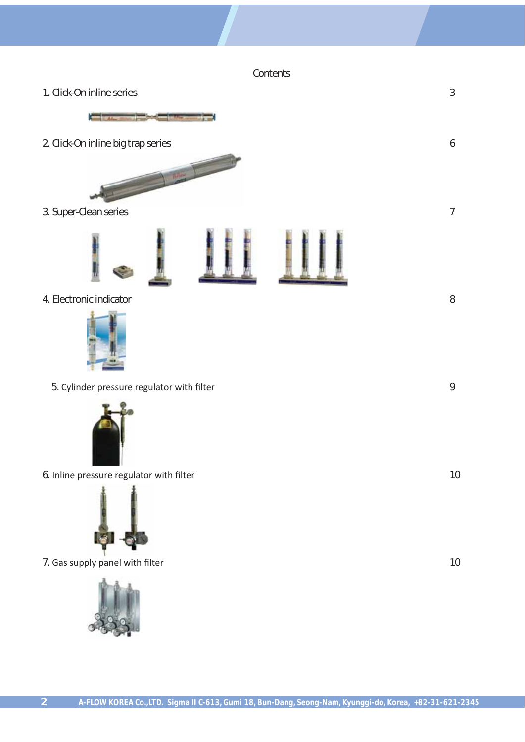**Contents** 



7. Gas supply panel with filter 10

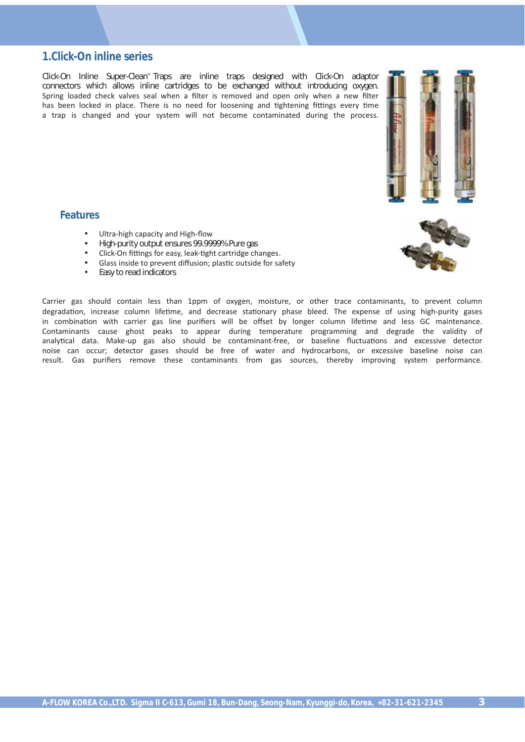## **1.Click-On inline series**

 $Click-On$  Inline Super-Clean<sup>"</sup> Traps are inline traps designed with Click-On adaptor connectors which allows inline cartridges to be exchanged without introducing oxygen. Spring loaded check valves seal when a filter is removed and open only when a new filter has been locked in place. There is no need for loosening and tightening fittings every time a trap is changed and your system will not become contaminated during the process.

#### **Features**

- Ultra-high capacity and High-flow
- High-purity output ensures 99.9999% Pure gas
- Click-On fittings for easy, leak-tight cartridge changes.
- Glass inside to prevent diffusion; plastic outside for safety
- Easy to read indicators

Carrier gas should contain less than 1ppm of oxygen, moisture, or other trace contaminants, to prevent column degradation, increase column lifetime, and decrease stationary phase bleed. The expense of using high-purity gases in combination with carrier gas line purifiers will be offset by longer column lifetime and less GC maintenance. Contaminants cause ghost peaks to appear during temperature programming and degrade the validity of analytical data. Make-up gas also should be contaminant-free, or baseline fluctuations and excessive detector noise can occur; detector gases should be free of water and hydrocarbons, or excessive baseline noise can result. Gas purifiers remove these contaminants from gas sources, thereby improving system performance.

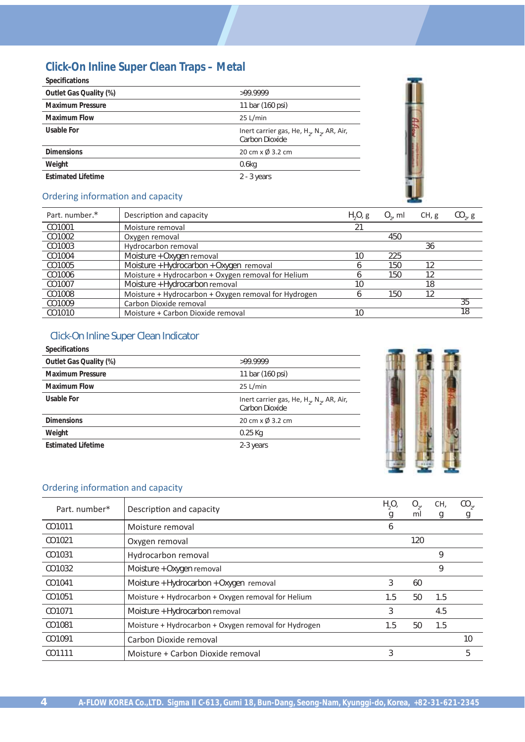# **Click-On Inline Super Clean Traps – Metal**

| <b>Specifications</b>     |                                                                            |
|---------------------------|----------------------------------------------------------------------------|
| Outlet Gas Quality (%)    | >99.9999                                                                   |
| <b>Maximum Pressure</b>   | 11 bar (160 psi)                                                           |
| <b>Maximum Flow</b>       | 25 L/min                                                                   |
| Usable For                | Inert carrier gas, He, $H_2$ , N <sub>2</sub> , AR, Air,<br>Carbon Dioxide |
| <b>Dimensions</b>         | 20 cm x Ø 3.2 cm                                                           |
| Weight                    | 0.6 <sub>kq</sub>                                                          |
| <b>Estimated Lifetime</b> | $2 - 3$ years                                                              |
|                           |                                                                            |



# Ordering information and capacity

| Part. number.* | Description and capacity                             | $H2O2$ g | $O_{\gamma}$ , ml | CH, g | $CO_{2}$ , g |
|----------------|------------------------------------------------------|----------|-------------------|-------|--------------|
| CO1001         | Moisture removal                                     | 21       |                   |       |              |
| CO1002         | Oxygen removal                                       |          | 450               |       |              |
| CO1003         | Hydrocarbon removal                                  |          |                   | 36    |              |
| CO1004         | Moisture + Oxygen removal                            | 10       | 225               |       |              |
| CO1005         | Moisture + Hydrocarbon + Oxygen removal              |          | 150               | 12    |              |
| CO1006         | Moisture + Hydrocarbon + Oxygen removal for Helium   |          | 150               | 12    |              |
| CO1007         | Moisture + Hydrocarbon removal                       | 10       |                   | 18    |              |
| CO1008         | Moisture + Hydrocarbon + Oxygen removal for Hydrogen |          | 150               | 12    |              |
| CO1009         | Carbon Dioxide removal                               |          |                   |       | 35           |
| CO1010         | Moisture + Carbon Dioxide removal                    | 10       |                   |       | 18           |

# Click-On Inline Super Clean Indicator

| <b>Specifications</b>     |                                                                                     |
|---------------------------|-------------------------------------------------------------------------------------|
| Outlet Gas Quality (%)    | >99.9999                                                                            |
| <b>Maximum Pressure</b>   | 11 bar (160 psi)                                                                    |
| <b>Maximum Flow</b>       | 25 L/min                                                                            |
| Usable For                | Inert carrier gas, He, H <sub>2</sub> , N <sub>2</sub> , AR, Air,<br>Carbon Dioxide |
| <b>Dimensions</b>         | 20 cm x Ø 3.2 cm                                                                    |
| Weight                    | $0.25$ Kg                                                                           |
| <b>Estimated Lifetime</b> | 2-3 years                                                                           |
|                           |                                                                                     |



### Ordering information and capacity

| Part. number* | Description and capacity                             | H <sub>2</sub> O <sub>2</sub> | $O_{\gamma}$<br>ml | CH, | $CO_{2}$ |
|---------------|------------------------------------------------------|-------------------------------|--------------------|-----|----------|
| CO1011        | Moisture removal                                     | O                             |                    | g   | g        |
| CO1021        | Oxygen removal                                       |                               | 120                |     |          |
| CO1031        | Hydrocarbon removal                                  |                               |                    | 9   |          |
| CO1032        | Moisture + Oxygen removal                            |                               |                    | 9   |          |
| CO1041        | Moisture + Hydrocarbon + Oxygen removal              | 3                             | 60                 |     |          |
| CO1051        | Moisture + Hydrocarbon + Oxygen removal for Helium   | 1.5                           | 50                 | 1.5 |          |
| CO1071        | Moisture + Hydrocarbon removal                       | 3                             |                    | 4.5 |          |
| CO1081        | Moisture + Hydrocarbon + Oxygen removal for Hydrogen | 1.5                           | 50                 | 1.5 |          |
| CO1091        | Carbon Dioxide removal                               |                               |                    |     | 10       |
| CO1111        | Moisture + Carbon Dioxide removal                    | 3                             |                    |     | 5        |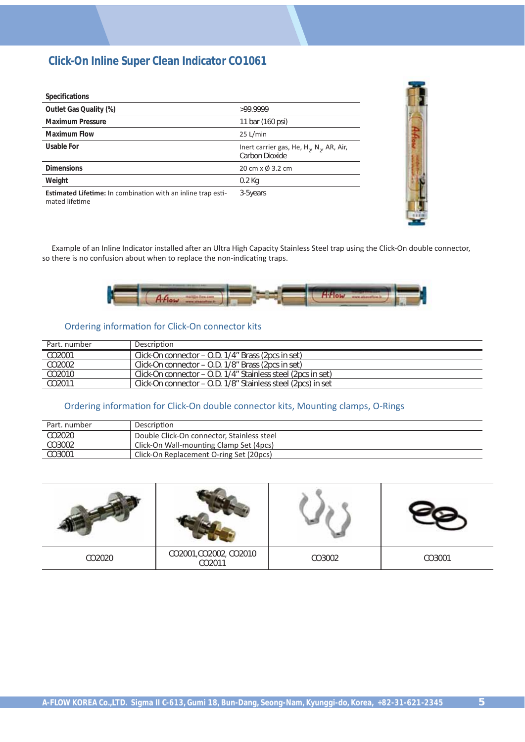# **Click-On Inline Super Clean Indicator CO1061**

| <b>Specifications</b>                                                                 |                                                                            |
|---------------------------------------------------------------------------------------|----------------------------------------------------------------------------|
| Outlet Gas Quality (%)                                                                | >99.9999                                                                   |
| <b>Maximum Pressure</b>                                                               | 11 bar (160 psi)                                                           |
| <b>Maximum Flow</b>                                                                   | 25 L/min                                                                   |
| Usable For                                                                            | Inert carrier gas, He, $H_2$ , N <sub>2</sub> , AR, Air,<br>Carbon Dioxide |
| <b>Dimensions</b>                                                                     | 20 cm x Ø 3.2 cm                                                           |
| Weight                                                                                | $0.2$ Kg                                                                   |
| <b>Estimated Lifetime:</b> In combination with an inline trap esti-<br>mated lifetime | 3-5years                                                                   |

Example of an Inline Indicator installed after an Ultra High Capacity Stainless Steel trap using the Click-On double connector, so there is no confusion about when to replace the non-indicating traps.



#### Ordering information for Click-On connector kits

| Part, number       | Description                                                  |
|--------------------|--------------------------------------------------------------|
| CO2001             | Click-On connector – O.D. 1/4" Brass (2pcs in set)           |
| CO2002             | Click-On connector – O.D. 1/8" Brass (2pcs in set)           |
| CO2010             | Click-On connector - O.D. 1/4" Stainless steel (2pcs in set) |
| CO <sub>2011</sub> | Click-On connector – O.D. 1/8" Stainless steel (2pcs) in set |

#### Ordering information for Click-On double connector kits, Mounting clamps, O-Rings

| Part. number | Description                                |
|--------------|--------------------------------------------|
| CO2020       | Double Click-On connector, Stainless steel |
| CO3002       | Click-On Wall-mounting Clamp Set (4pcs)    |
| CO3001       | Click-On Replacement O-ring Set (20pcs)    |

| CO2020 | CO2001, CO2002, CO2010<br>CO2011 | CO3002 | CO3001 |
|--------|----------------------------------|--------|--------|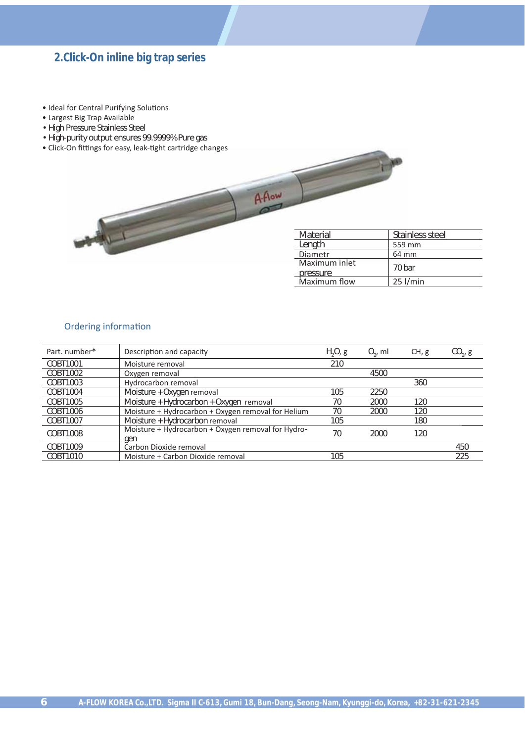# **2.Click-On inline big trap series**

- Ideal for Central Purifying Solutions
- Largest Big Trap Available
- High Pressure Stainless Steel
- High-purity output ensures 99.9999% Pure gas
- Click-On fittings for easy, leak-tight cartridge changes



#### Ordering information

| Part, number* | Description and capacity                                  | $H2O2$ g | $O_{\gamma}$ , ml | CH, g | $CO_{2}$ , g |
|---------------|-----------------------------------------------------------|----------|-------------------|-------|--------------|
| COBT1001      | Moisture removal                                          | 210      |                   |       |              |
| COBT1002      | Oxygen removal                                            |          | 4500              |       |              |
| COBT1003      | Hydrocarbon removal                                       |          |                   | 360   |              |
| COBT1004      | Moisture + Oxygen removal                                 | 105      | 2250              |       |              |
| COBT1005      | Moisture + Hydrocarbon + Oxygen removal                   | 70       | 2000              | 120   |              |
| COBT1006      | Moisture + Hydrocarbon + Oxygen removal for Helium        | 70       | 2000              | 120   |              |
| COBT1007      | Moisture + Hydrocarbon removal                            | 105      |                   | 180   |              |
| COBT1008      | Moisture + Hydrocarbon + Oxygen removal for Hydro-<br>gen | 70       | 2000              | 120   |              |
| COBT1009      | Carbon Dioxide removal                                    |          |                   |       | 450          |
| COBT1010      | Moisture + Carbon Dioxide removal                         | 105      |                   |       | 225          |

 $A$ -Aow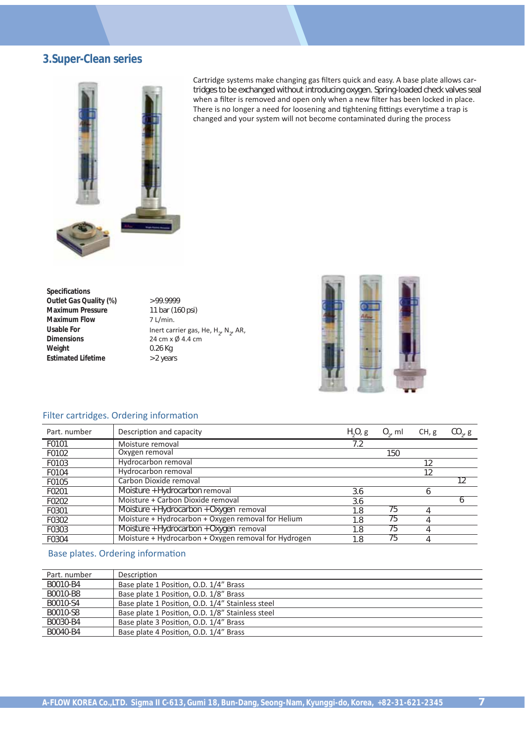# **3.Super-Clean series**



Cartridge systems make changing gas filters quick and easy. A base plate allows cartridges to be exchanged without introducing oxygen. Spring-loaded check valves seal when a filter is removed and open only when a new filter has been locked in place. There is no longer a need for loosening and tightening fittings everytime a trap is changed and your system will not become contaminated during the process

**Specifications Outlet Gas Quality (%)**  $> 99.9999$ **Maximum Pressure** 11 bar (160 psi) **Maximum Flow** 7 L/min. **Dimensions** 24 cm x Ø 4.4 cm **Weight** 0.26 Kg **Estimated Lifetime** > 2 years

Usable For *Inert carrier gas, He, H<sub>2</sub>, N<sub>2</sub>, AR,* 



#### Filter cartridges. Ordering information

| Part, number | Description and capacity                             | $H2O2$ g | $O_{\alpha}$ , ml | CH, g | $CO_{2}$ , g |
|--------------|------------------------------------------------------|----------|-------------------|-------|--------------|
| F0101        | Moisture removal                                     | 7.2      |                   |       |              |
| F0102        | Oxygen removal                                       |          | 150               |       |              |
| F0103        | Hydrocarbon removal                                  |          |                   | 12    |              |
| F0104        | Hydrocarbon removal                                  |          |                   | 12    |              |
| F0105        | Carbon Dioxide removal                               |          |                   |       | 12           |
| F0201        | Moisture + Hydrocarbon removal                       | 3.6      |                   | h     |              |
| F0202        | Moisture + Carbon Dioxide removal                    | 3.6      |                   |       |              |
| F0301        | Moisture + Hydrocarbon + Oxygen removal              | 1.8      | 75                |       |              |
| F0302        | Moisture + Hydrocarbon + Oxygen removal for Helium   | 1.8      | 75                |       |              |
| F0303        | Moisture + Hydrocarbon + Oxygen removal              | 1.8      | 75                |       |              |
| F0304        | Moisture + Hydrocarbon + Oxygen removal for Hydrogen | 1.8      | 75                |       |              |

#### Base plates. Ordering information

| Part, number | Description                                      |
|--------------|--------------------------------------------------|
| B0010-B4     | Base plate 1 Position, O.D. 1/4" Brass           |
| B0010-B8     | Base plate 1 Position, O.D. 1/8" Brass           |
| B0010-S4     | Base plate 1 Position, O.D. 1/4" Stainless steel |
| B0010-S8     | Base plate 1 Position, O.D. 1/8" Stainless steel |
| B0030-B4     | Base plate 3 Position, O.D. 1/4" Brass           |
| B0040-B4     | Base plate 4 Position, O.D. 1/4" Brass           |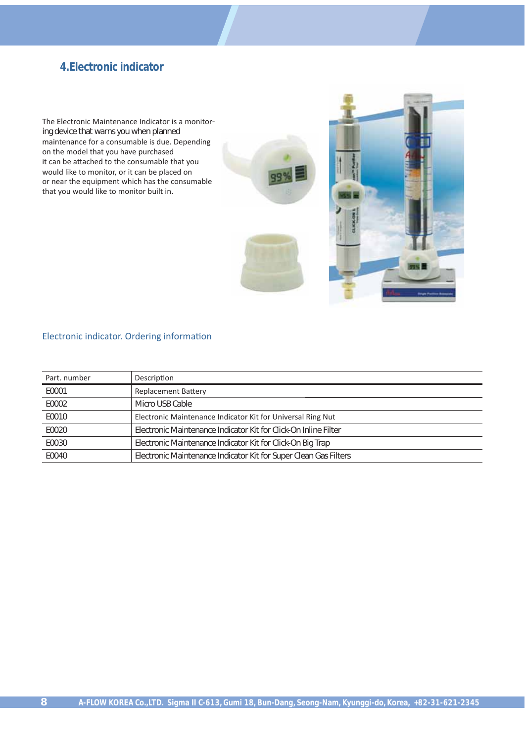# **4.Electronic indicator**

The Electronic Maintenance Indicator is a monitoring device that warns you when planned maintenance for a consumable is due. Depending on the model that you have purchased it can be attached to the consumable that you would like to monitor, or it can be placed on or near the equipment which has the consumable that you would like to monitor built in.





#### Electronic indicator. Ordering information

| Part, number | Description                                                      |
|--------------|------------------------------------------------------------------|
| E0001        | <b>Replacement Battery</b>                                       |
| E0002        | Micro USB Cable                                                  |
| E0010        | Electronic Maintenance Indicator Kit for Universal Ring Nut      |
| E0020        | Electronic Maintenance Indicator Kit for Click-On Inline Filter  |
| E0030        | Electronic Maintenance Indicator Kit for Click-On Big Trap       |
| E0040        | Electronic Maintenance Indicator Kit for Super Clean Gas Filters |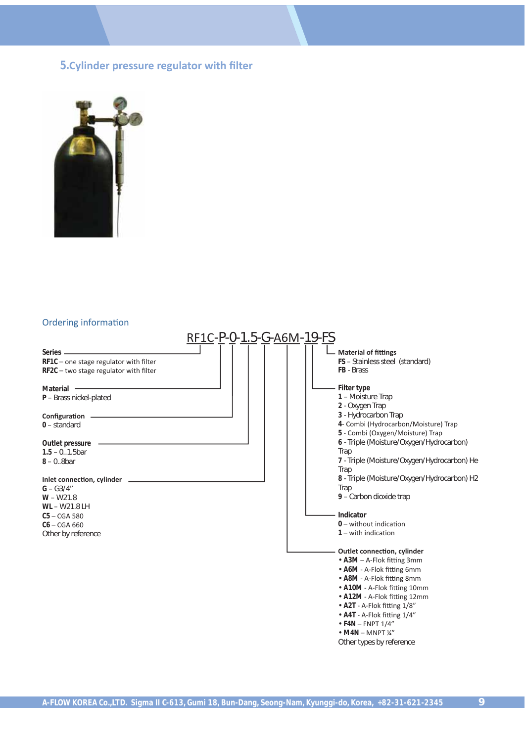### **5.Cylinder pressure regulator with filter**



#### Ordering information

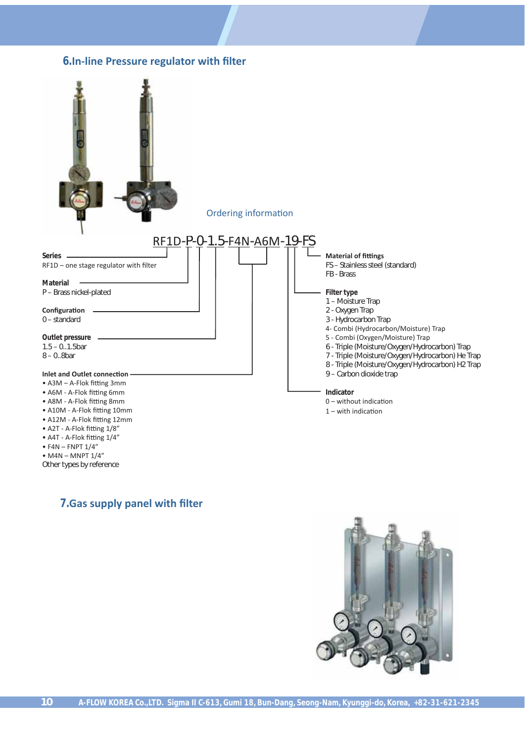#### **6.In-line Pressure regulator with filter**



Other types by reference

#### **7.** Gas supply panel with filter